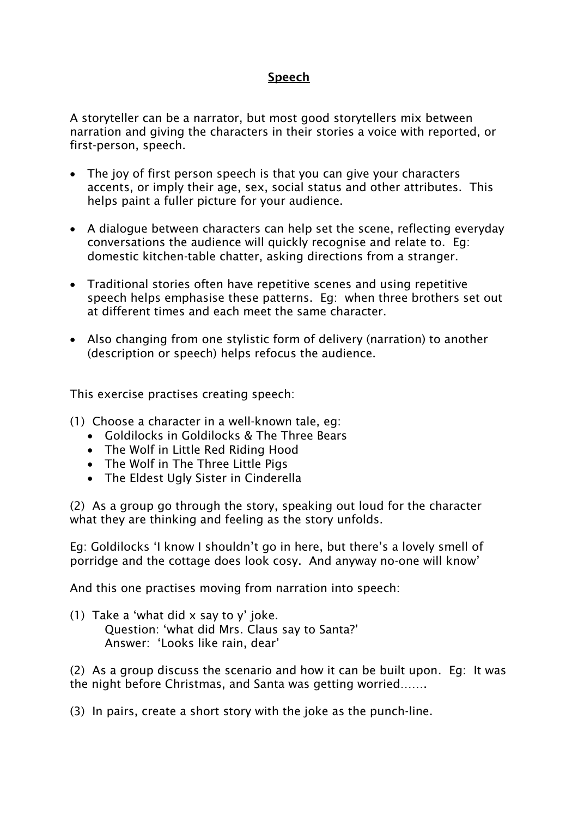## Speech

A storyteller can be a narrator, but most good storytellers mix between narration and giving the characters in their stories a voice with reported, or first-person, speech.

- The joy of first person speech is that you can give your characters accents, or imply their age, sex, social status and other attributes. This helps paint a fuller picture for your audience.
- A dialogue between characters can help set the scene, reflecting everyday conversations the audience will quickly recognise and relate to. Eg: domestic kitchen-table chatter, asking directions from a stranger.
- Traditional stories often have repetitive scenes and using repetitive speech helps emphasise these patterns. Eg: when three brothers set out at different times and each meet the same character.
- Also changing from one stylistic form of delivery (narration) to another (description or speech) helps refocus the audience.

This exercise practises creating speech:

(1) Choose a character in a well-known tale, eg:

- Goldilocks in Goldilocks & The Three Bears
- The Wolf in Little Red Riding Hood
- The Wolf in The Three Little Pigs
- The Eldest Ugly Sister in Cinderella

(2) As a group go through the story, speaking out loud for the character what they are thinking and feeling as the story unfolds.

Eg: Goldilocks 'I know I shouldn't go in here, but there's a lovely smell of porridge and the cottage does look cosy. And anyway no-one will know'

And this one practises moving from narration into speech:

(1) Take a 'what did x say to y' joke. Question: 'what did Mrs. Claus say to Santa?' Answer: 'Looks like rain, dear'

(2) As a group discuss the scenario and how it can be built upon. Eg: It was the night before Christmas, and Santa was getting worried…….

(3) In pairs, create a short story with the joke as the punch-line.